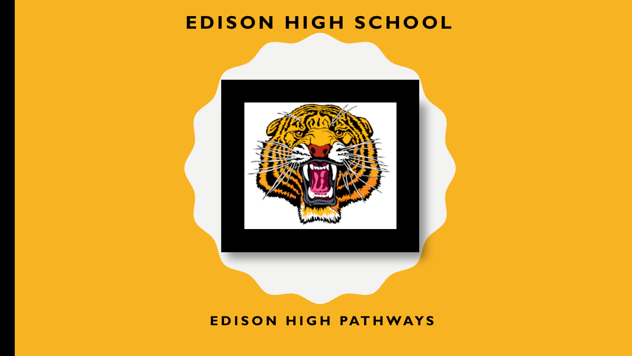#### **EDISON HIGH SCHOOL**



#### **EDISON HIGH PATHWAYS**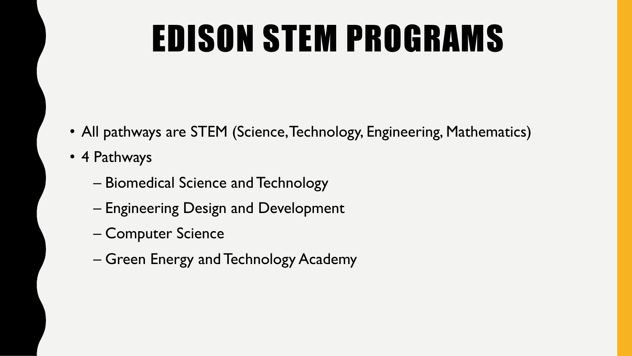#### EDISON STEM PROGRAMS

- All pathways are STEM (Science, Technology, Engineering, Mathematics)
- 4 Pathways
	- Biomedical Science and Technology
	- Engineering Design and Development
	- Computer Science
	- Green Energy and Technology Academy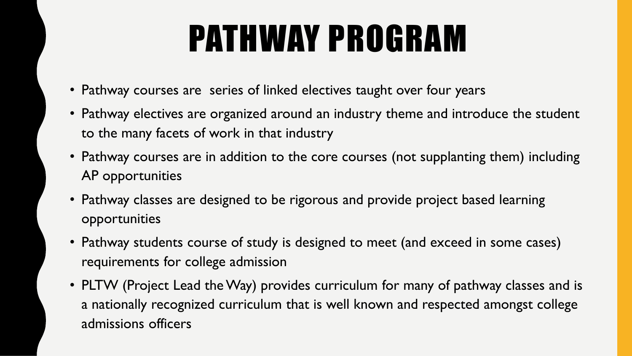## PATHWAY PROGRAM

- Pathway courses are series of linked electives taught over four years
- Pathway electives are organized around an industry theme and introduce the student to the many facets of work in that industry
- Pathway courses are in addition to the core courses (not supplanting them) including AP opportunities
- Pathway classes are designed to be rigorous and provide project based learning opportunities
- Pathway students course of study is designed to meet (and exceed in some cases) requirements for college admission
- PLTW (Project Lead the Way) provides curriculum for many of pathway classes and is a nationally recognized curriculum that is well known and respected amongst college admissions officers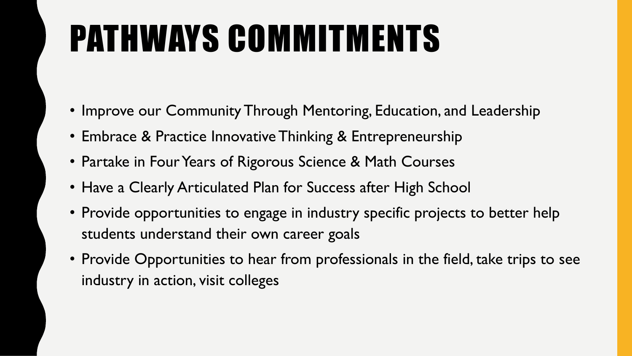# PATHWAYS COMMITMENTS

- Improve our Community Through Mentoring, Education, and Leadership
- Embrace & Practice Innovative Thinking & Entrepreneurship
- Partake in Four Years of Rigorous Science & Math Courses
- Have a Clearly Articulated Plan for Success after High School
- Provide opportunities to engage in industry specific projects to better help students understand their own career goals
- Provide Opportunities to hear from professionals in the field, take trips to see industry in action, visit colleges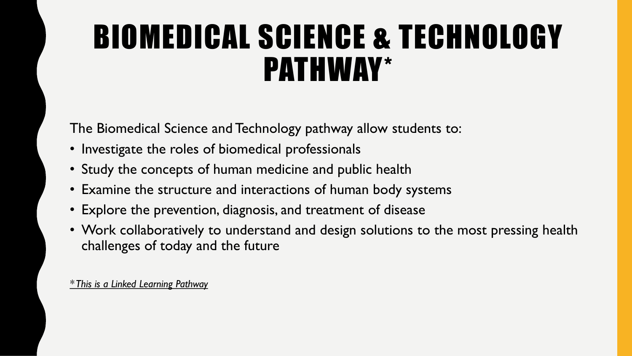#### BIOMEDICAL SCIENCE & TECHNOLOGY PATHWAY\*

The Biomedical Science and Technology pathway allow students to:

- Investigate the roles of biomedical professionals
- Study the concepts of human medicine and public health
- Examine the structure and interactions of human body systems
- Explore the prevention, diagnosis, and treatment of disease
- Work collaboratively to understand and design solutions to the most pressing health challenges of today and the future

*\* This is a Linked Learning Pathway*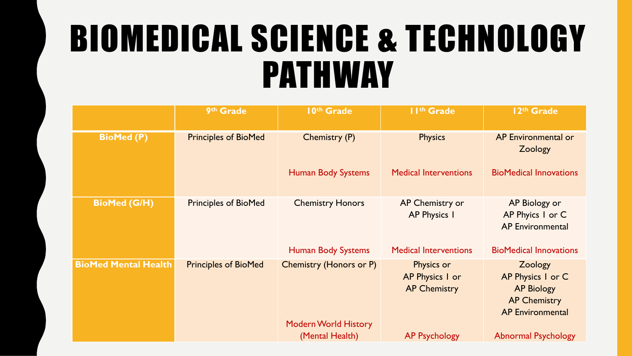#### BIOMEDICAL SCIENCE & TECHNOLOGY PATHWAY

|                             | 9th Grade                   | 10th Grade                                                    | II <sup>th</sup> Grade                               | 12th Grade                                                                                          |
|-----------------------------|-----------------------------|---------------------------------------------------------------|------------------------------------------------------|-----------------------------------------------------------------------------------------------------|
| <b>BioMed (P)</b>           | <b>Principles of BioMed</b> | Chemistry (P)                                                 | <b>Physics</b>                                       | AP Environmental or<br>Zoology                                                                      |
|                             |                             | <b>Human Body Systems</b>                                     | <b>Medical Interventions</b>                         | <b>BioMedical Innovations</b>                                                                       |
| <b>BioMed (G/H)</b>         | <b>Principles of BioMed</b> | <b>Chemistry Honors</b>                                       | AP Chemistry or<br><b>AP Physics I</b>               | AP Biology or<br>AP Phyics I or C<br><b>AP Environmental</b>                                        |
|                             |                             | <b>Human Body Systems</b>                                     | <b>Medical Interventions</b>                         | <b>BioMedical Innovations</b>                                                                       |
| <b>BioMed Mental Health</b> | <b>Principles of BioMed</b> | <b>Chemistry (Honors or P)</b><br><b>Modern World History</b> | Physics or<br>AP Physics I or<br><b>AP Chemistry</b> | Zoology<br>AP Physics I or C<br><b>AP Biology</b><br><b>AP Chemistry</b><br><b>AP Environmental</b> |
|                             |                             | (Mental Health)                                               | <b>AP Psychology</b>                                 | <b>Abnormal Psychology</b>                                                                          |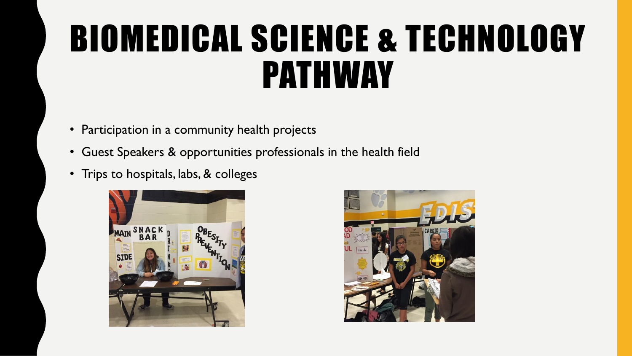#### BIOMEDICAL SCIENCE & TECHNOLOGY PATHWAY

- Participation in a community health projects
- Guest Speakers & opportunities professionals in the health field
- Trips to hospitals, labs, & colleges



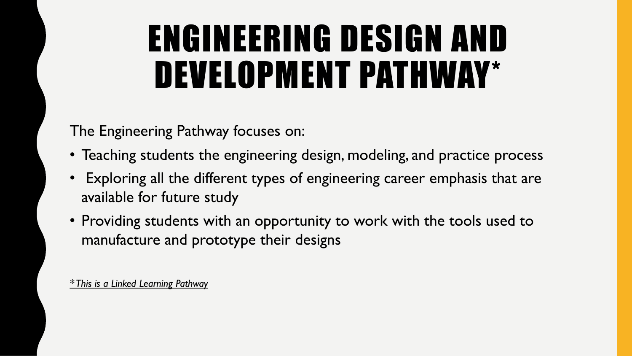#### ENGINEERING DESIGN AND DEVELOPMENT PATHWAY\*

The Engineering Pathway focuses on:

- Teaching students the engineering design, modeling, and practice process
- Exploring all the different types of engineering career emphasis that are available for future study
- Providing students with an opportunity to work with the tools used to manufacture and prototype their designs

*\* This is a Linked Learning Pathway*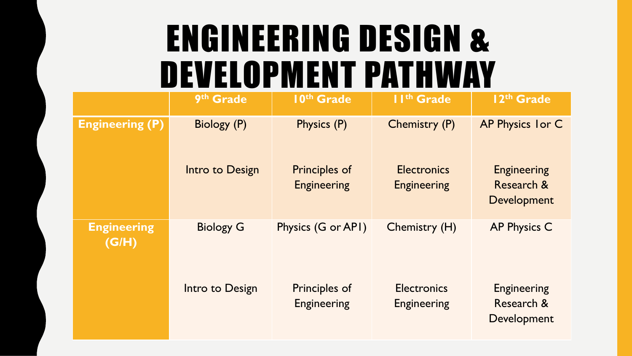#### ENGINEERING DESIGN & DEVELOPMENT PATHWAY

|                             | 9th Grade        | 10th Grade                                 | II <sup>th</sup> Grade                   | 12th Grade                                      |
|-----------------------------|------------------|--------------------------------------------|------------------------------------------|-------------------------------------------------|
| <b>Engineering (P)</b>      | Biology (P)      | Physics (P)                                | Chemistry (P)                            | AP Physics I or C                               |
|                             | Intro to Design  | <b>Principles of</b><br><b>Engineering</b> | <b>Electronics</b><br><b>Engineering</b> | <b>Engineering</b><br>Research &<br>Development |
| <b>Engineering</b><br>(G/H) | <b>Biology G</b> | Physics (G or API)                         | Chemistry (H)                            | <b>AP Physics C</b>                             |
|                             | Intro to Design  | <b>Principles of</b><br><b>Engineering</b> | <b>Electronics</b><br><b>Engineering</b> | <b>Engineering</b><br>Research &<br>Development |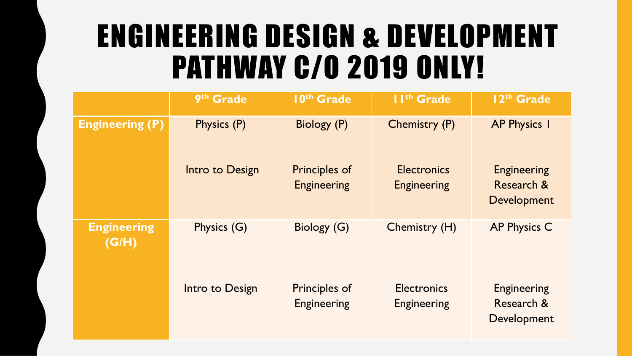#### ENGINEERING DESIGN & DEVELOPMENT **PATHWAY C/0 2019 ONLY!**

|                             | 9th Grade       | 10th Grade                                 | II <sup>th</sup> Grade                   | 12th Grade                                                 |
|-----------------------------|-----------------|--------------------------------------------|------------------------------------------|------------------------------------------------------------|
| <b>Engineering (P)</b>      | Physics (P)     | Biology (P)                                | Chemistry (P)                            | <b>AP Physics I</b>                                        |
|                             | Intro to Design | <b>Principles of</b><br><b>Engineering</b> | <b>Electronics</b><br><b>Engineering</b> | <b>Engineering</b><br><b>Research &amp;</b><br>Development |
| <b>Engineering</b><br>(G/H) | Physics (G)     | Biology (G)                                | Chemistry (H)                            | <b>AP Physics C</b>                                        |
|                             | Intro to Design | Principles of<br><b>Engineering</b>        | <b>Electronics</b><br><b>Engineering</b> | <b>Engineering</b><br>Research &<br>Development            |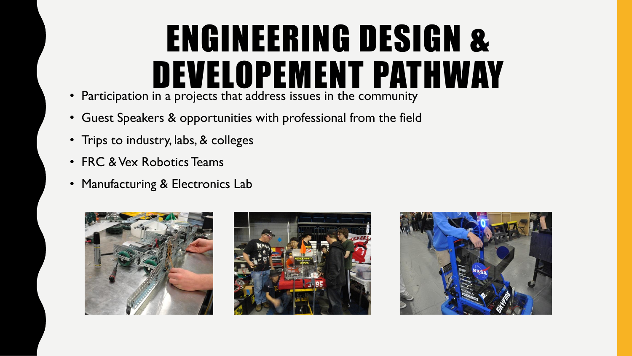#### ENGINEERING DESIGN & DEVELOPEMENT PATHWAY

- Participation in a projects that address issues in the community
- Guest Speakers & opportunities with professional from the field
- Trips to industry, labs, & colleges
- FRC & Vex Robotics Teams
- Manufacturing & Electronics Lab





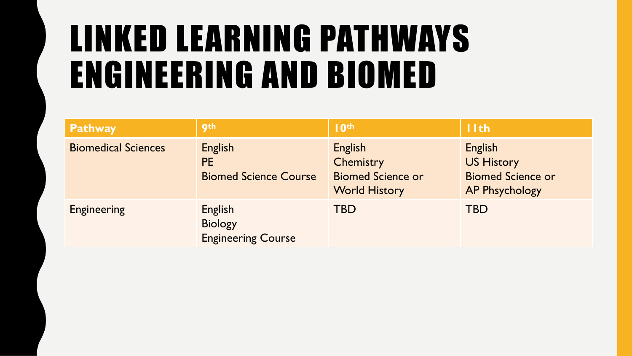#### LINKED LEARNING PATHWAYS ENGINEERING AND BIOMED

| <b>Pathway</b>             | <b>gth</b>                                             | 10 <sup>th</sup>                                                                       | 11th                                                                              |
|----------------------------|--------------------------------------------------------|----------------------------------------------------------------------------------------|-----------------------------------------------------------------------------------|
| <b>Biomedical Sciences</b> | English<br><b>PE</b><br><b>Biomed Science Course</b>   | <b>English</b><br><b>Chemistry</b><br><b>Biomed Science or</b><br><b>World History</b> | English<br><b>US History</b><br><b>Biomed Science or</b><br><b>AP Phsychology</b> |
| <b>Engineering</b>         | English<br><b>Biology</b><br><b>Engineering Course</b> | <b>TBD</b>                                                                             | <b>TBD</b>                                                                        |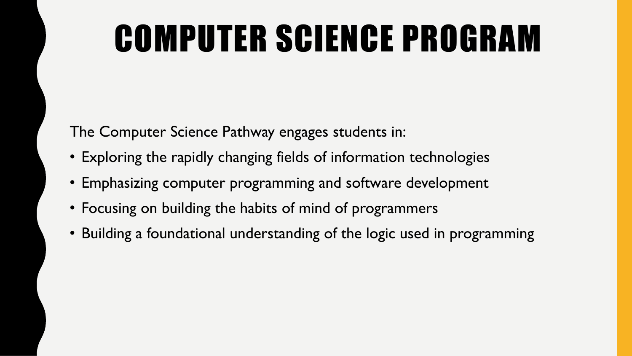#### COMPUTER SCIENCE PROGRAM

The Computer Science Pathway engages students in:

- Exploring the rapidly changing fields of information technologies
- Emphasizing computer programming and software development
- Focusing on building the habits of mind of programmers
- Building a foundational understanding of the logic used in programming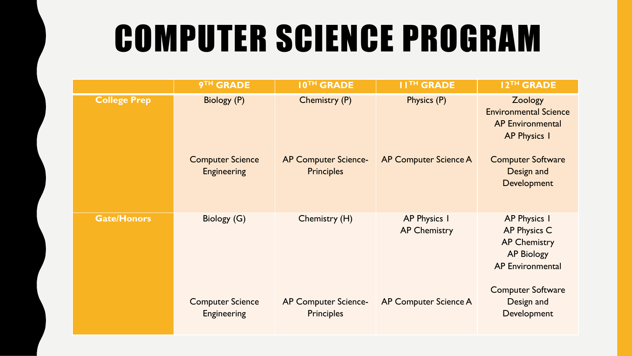#### COMPUTER SCIENCE PROGRAM

|                     | <b>9TH GRADE</b>                                             | <b>10TH GRADE</b>                                                        | <b>I ITH GRADE</b>                          | 12TH GRADE                                                                                                                                         |
|---------------------|--------------------------------------------------------------|--------------------------------------------------------------------------|---------------------------------------------|----------------------------------------------------------------------------------------------------------------------------------------------------|
| <b>College Prep</b> | Biology (P)<br><b>Computer Science</b><br><b>Engineering</b> | <b>Chemistry (P)</b><br><b>AP Computer Science-</b><br><b>Principles</b> | Physics (P)<br><b>AP Computer Science A</b> | Zoology<br><b>Environmental Science</b><br><b>AP Environmental</b><br><b>AP Physics I</b><br><b>Computer Software</b><br>Design and<br>Development |
| <b>Gate/Honors</b>  | Biology (G)                                                  | Chemistry (H)                                                            | <b>AP Physics I</b><br><b>AP Chemistry</b>  | <b>AP Physics I</b><br><b>AP Physics C</b><br><b>AP Chemistry</b><br><b>AP Biology</b><br><b>AP Environmental</b>                                  |
|                     | <b>Computer Science</b><br><b>Engineering</b>                | <b>AP Computer Science-</b><br><b>Principles</b>                         | AP Computer Science A                       | <b>Computer Software</b><br>Design and<br>Development                                                                                              |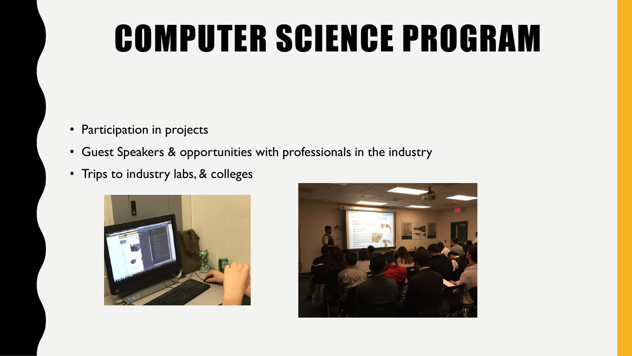#### COMPUTER SCIENCE PROGRAM

- Participation in projects
- Guest Speakers & opportunities with professionals in the industry
- Trips to industry labs, & colleges



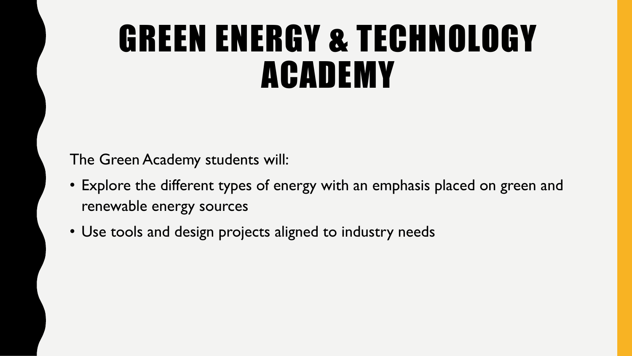#### GREEN ENERGY & TECHNOLOGY ACADEMY

The Green Academy students will:

- Explore the different types of energy with an emphasis placed on green and renewable energy sources
- Use tools and design projects aligned to industry needs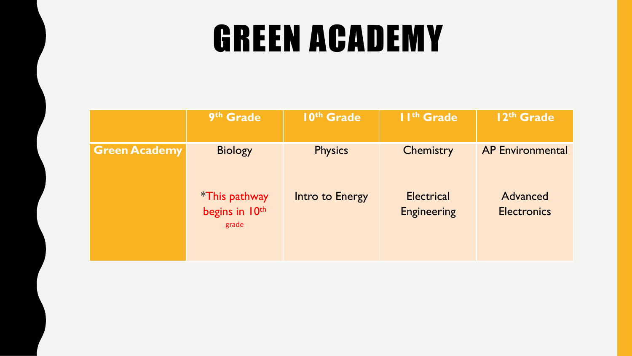#### GREEN ACADEMY

|                      | 9th Grade                                        | 10th Grade      | II <sup>th</sup> Grade                  | 12 <sup>th</sup> Grade         |
|----------------------|--------------------------------------------------|-----------------|-----------------------------------------|--------------------------------|
| <b>Green Academy</b> | <b>Biology</b>                                   | <b>Physics</b>  | Chemistry                               | <b>AP Environmental</b>        |
|                      | <i>*</i> This pathway<br>begins in 10th<br>grade | Intro to Energy | <b>Electrical</b><br><b>Engineering</b> | Advanced<br><b>Electronics</b> |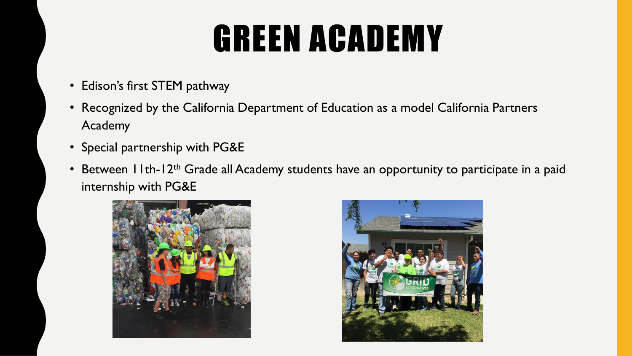#### GREEN ACADEMY

- Edison's first STEM pathway
- Recognized by the California Department of Education as a model California Partners Academy
- Special partnership with PG&E
- Between 11th-12<sup>th</sup> Grade all Academy students have an opportunity to participate in a paid internship with PG&E



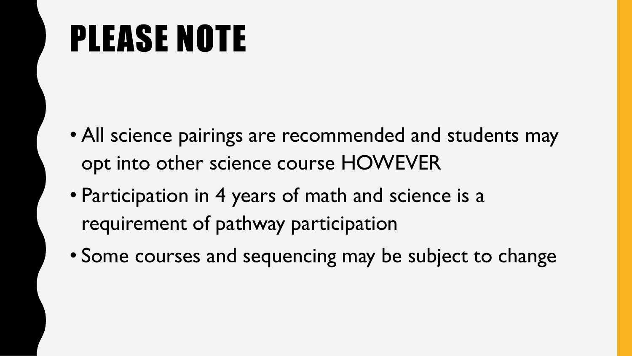## PLEASE NOTE

- All science pairings are recommended and students may opt into other science course HOWEVER
- Participation in 4 years of math and science is a requirement of pathway participation
- Some courses and sequencing may be subject to change